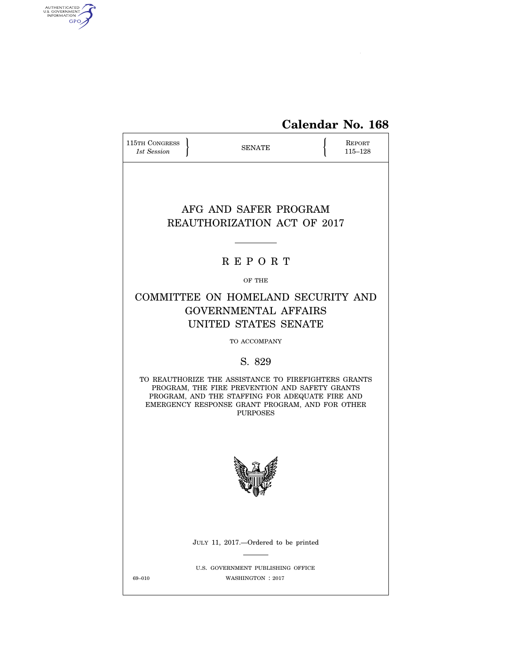

| 115TH CONGRESS<br>1st Session                                                                                                                                                                                                   | <b>SENATE</b> |  |  |  |  |  |  |
|---------------------------------------------------------------------------------------------------------------------------------------------------------------------------------------------------------------------------------|---------------|--|--|--|--|--|--|
| AFG AND SAFER PROGRAM<br><b>REAUTHORIZATION ACT OF 2017</b>                                                                                                                                                                     |               |  |  |  |  |  |  |
|                                                                                                                                                                                                                                 | <b>REPORT</b> |  |  |  |  |  |  |
| OF THE                                                                                                                                                                                                                          |               |  |  |  |  |  |  |
| COMMITTEE ON HOMELAND SECURITY AND<br><b>GOVERNMENTAL AFFAIRS</b><br>UNITED STATES SENATE                                                                                                                                       |               |  |  |  |  |  |  |
| TO ACCOMPANY                                                                                                                                                                                                                    |               |  |  |  |  |  |  |
|                                                                                                                                                                                                                                 | S. 829        |  |  |  |  |  |  |
| TO REAUTHORIZE THE ASSISTANCE TO FIREFIGHTERS GRANTS<br>PROGRAM, THE FIRE PREVENTION AND SAFETY GRANTS<br>PROGRAM, AND THE STAFFING FOR ADEQUATE FIRE AND<br>EMERGENCY RESPONSE GRANT PROGRAM, AND FOR OTHER<br><b>PURPOSES</b> |               |  |  |  |  |  |  |
|                                                                                                                                                                                                                                 |               |  |  |  |  |  |  |
| JULY 11, 2017.—Ordered to be printed                                                                                                                                                                                            |               |  |  |  |  |  |  |
| U.S. GOVERNMENT PUBLISHING OFFICE<br>69-010<br>WASHINGTON : 2017                                                                                                                                                                |               |  |  |  |  |  |  |

AUTHENTICATED

 $\widehat{\blacktriangle}$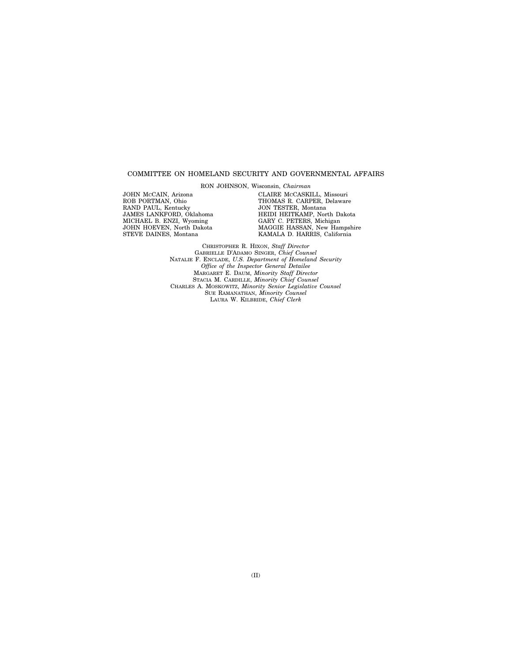#### COMMITTEE ON HOMELAND SECURITY AND GOVERNMENTAL AFFAIRS

RON JOHNSON, Wisconsin, *Chairman* 

JOHN MCCAIN, Arizona ROB PORTMAN, Ohio RAND PAUL, Kentucky JAMES LANKFORD, Oklahoma MICHAEL B. ENZI, Wyoming JOHN HOEVEN, North Dakota STEVE DAINES, Montana

CLAIRE MCCASKILL, Missouri THOMAS R. CARPER, Delaware JON TESTER, Montana HEIDI HEITKAMP, North Dakota GARY C. PETERS, Michigan MAGGIE HASSAN, New Hampshire KAMALA D. HARRIS, California

CHRISTOPHER R. HIXON, *Staff Director*  GABRIELLE D'ADAMO SINGER, *Chief Counsel*  NATALIE F. ENCLADE, *U.S. Department of Homeland Security Office of the Inspector General Detailee*  MARGARET E. DAUM, *Minority Staff Director*  STACIA M. CARDILLE, *Minority Chief Counsel*  CHARLES A. MOSKOWITZ, *Minority Senior Legislative Counsel*  SUE RAMANATHAN, *Minority Counsel*  LAURA W. KILBRIDE, *Chief Clerk*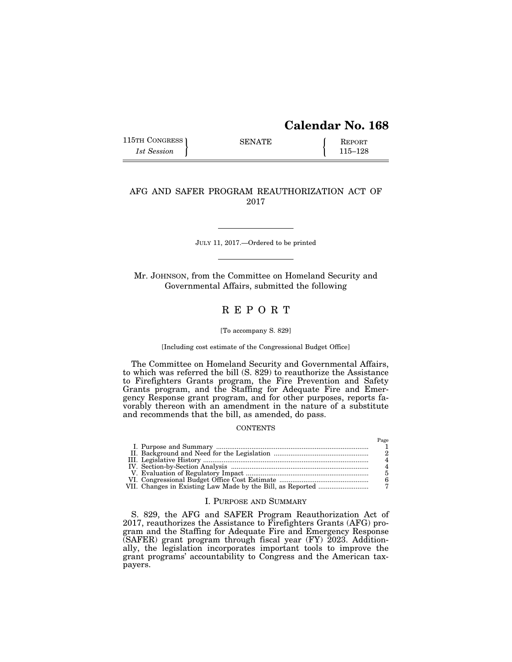# **Calendar No. 168**

115TH CONGRESS SENATE <br>
115 Assion 115–128

Page

# AFG AND SAFER PROGRAM REAUTHORIZATION ACT OF 2017

JULY 11, 2017.—Ordered to be printed

Mr. JOHNSON, from the Committee on Homeland Security and Governmental Affairs, submitted the following

# R E P O R T

### [To accompany S. 829]

[Including cost estimate of the Congressional Budget Office]

The Committee on Homeland Security and Governmental Affairs, to which was referred the bill (S. 829) to reauthorize the Assistance to Firefighters Grants program, the Fire Prevention and Safety Grants program, and the Staffing for Adequate Fire and Emergency Response grant program, and for other purposes, reports favorably thereon with an amendment in the nature of a substitute and recommends that the bill, as amended, do pass.

### **CONTENTS**

# I. PURPOSE AND SUMMARY

S. 829, the AFG and SAFER Program Reauthorization Act of 2017, reauthorizes the Assistance to Firefighters Grants (AFG) program and the Staffing for Adequate Fire and Emergency Response (SAFER) grant program through fiscal year (FY) 2023. Additionally, the legislation incorporates important tools to improve the grant programs' accountability to Congress and the American taxpayers.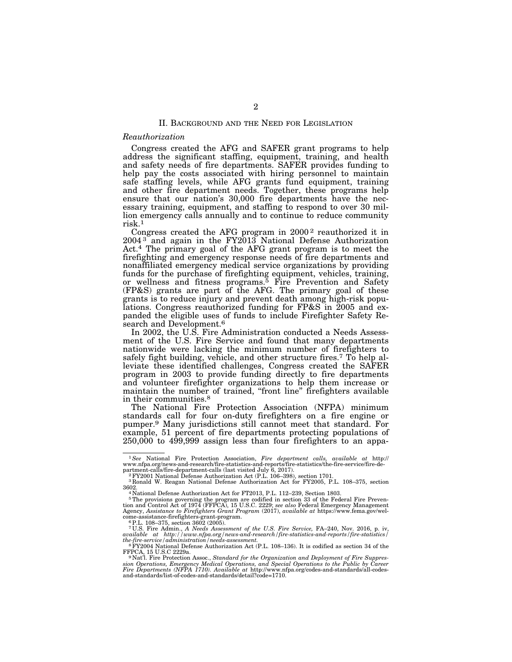#### II. BACKGROUND AND THE NEED FOR LEGISLATION

#### *Reauthorization*

Congress created the AFG and SAFER grant programs to help address the significant staffing, equipment, training, and health and safety needs of fire departments. SAFER provides funding to help pay the costs associated with hiring personnel to maintain safe staffing levels, while AFG grants fund equipment, training and other fire department needs. Together, these programs help ensure that our nation's 30,000 fire departments have the necessary training, equipment, and staffing to respond to over 30 million emergency calls annually and to continue to reduce community risk.1

Congress created the AFG program in  $2000<sup>2</sup>$  reauthorized it in  $2004$ <sup>3</sup> and again in the FY2013 National Defense Authorization Act.4 The primary goal of the AFG grant program is to meet the firefighting and emergency response needs of fire departments and nonaffiliated emergency medical service organizations by providing funds for the purchase of firefighting equipment, vehicles, training, or wellness and fitness programs.<sup>5</sup> Fire Prevention and Safety (FP&S) grants are part of the AFG. The primary goal of these grants is to reduce injury and prevent death among high-risk populations. Congress reauthorized funding for FP&S in 2005 and expanded the eligible uses of funds to include Firefighter Safety Research and Development.<sup>6</sup>

In 2002, the U.S. Fire Administration conducted a Needs Assessment of the U.S. Fire Service and found that many departments nationwide were lacking the minimum number of firefighters to safely fight building, vehicle, and other structure fires.7 To help alleviate these identified challenges, Congress created the SAFER program in 2003 to provide funding directly to fire departments and volunteer firefighter organizations to help them increase or maintain the number of trained, "front line" firefighters available in their communities.<sup>8</sup>

The National Fire Protection Association (NFPA) minimum standards call for four on-duty firefighters on a fire engine or pumper.9 Many jurisdictions still cannot meet that standard. For example, 51 percent of fire departments protecting populations of 250,000 to 499,999 assign less than four firefighters to an appa-

<sup>7</sup> U.S. Fire Admin., *A Needs Assessment of the U.S. Fire Service*, FA-240, Nov. 2016, p. iv, available at http://www.nfpa.org/news-and-research/fire-statistics-and-reports/fire-statistics/

<sup>&</sup>lt;sup>1</sup>See National Fire Protection Association, Fire department calls, available at http://www.nfpa.org/news-and-research/fire-statistics-and-ports/fire-statistics-partment-calls/fire-statistics-and-research/singlextics-depa

<sup>&</sup>lt;sup>2</sup> PY2001 National Defense Authorization Act (P.L. 106–398), section 1701.<br><sup>3</sup> Ronald W. Reagan National Defense Authorization Act for FY2005, P.L. 108–375, section<br>3602.

<sup>&</sup>lt;sup>4</sup> National Defense Authorization Act for FT2013, P.L. 112–239, Section 1803.

<sup>5</sup>The provisions governing the program are codified in section 33 of the Federal Fire Preven-tion and Control Act of 1974 (FFPCA), 15 U.S.C. 2229; *see also* Federal Emergency Management Agency, *Assistance to Firefighters Grant Program* (2017), *available at* https://www.fema.gov/welcome-assistance-firefighters-grant-program.  ${}^{6}$ P.L. 108–375, section 3602 (2005).

*the-fire-service/administration/needs-assessment.* 8FY2004 National Defense Authorization Act (P.L. 108–136). It is codified as section 34 of the

<sup>&</sup>lt;sup>9</sup> Nat'l. Fire Protection Assoc., *Standard for the Organization and Deployment of Fire Suppres*sion Operations, Emergency Medical Operations, and Special Operations to the Public by Career<br>Fire Departments (NFPA 1710). Available at http://www.nfpa.org/codes-and-standards/all-codes-<br>and-standards/list-of-codes-and-st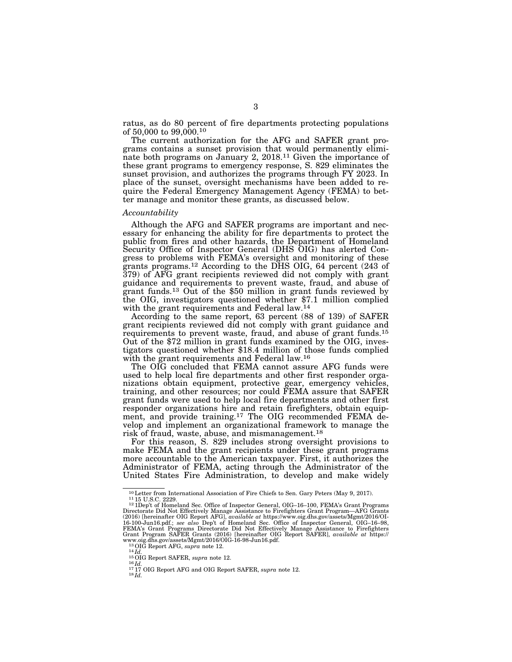ratus, as do 80 percent of fire departments protecting populations of 50,000 to 99,000.10

The current authorization for the AFG and SAFER grant programs contains a sunset provision that would permanently eliminate both programs on January 2, 2018.11 Given the importance of these grant programs to emergency response, S. 829 eliminates the sunset provision, and authorizes the programs through FY 2023. In place of the sunset, oversight mechanisms have been added to require the Federal Emergency Management Agency (FEMA) to better manage and monitor these grants, as discussed below.

#### *Accountability*

Although the AFG and SAFER programs are important and necessary for enhancing the ability for fire departments to protect the public from fires and other hazards, the Department of Homeland Security Office of Inspector General (DHS OIG) has alerted Congress to problems with FEMA's oversight and monitoring of these grants programs.12 According to the DHS OIG, 64 percent (243 of 379) of AFG grant recipients reviewed did not comply with grant guidance and requirements to prevent waste, fraud, and abuse of grant funds.13 Out of the \$50 million in grant funds reviewed by the OIG, investigators questioned whether \$7.1 million complied with the grant requirements and Federal law.14

According to the same report, 63 percent (88 of 139) of SAFER grant recipients reviewed did not comply with grant guidance and requirements to prevent waste, fraud, and abuse of grant funds.15 Out of the \$72 million in grant funds examined by the OIG, investigators questioned whether \$18.4 million of those funds complied with the grant requirements and Federal law.16

The OIG concluded that FEMA cannot assure AFG funds were used to help local fire departments and other first responder organizations obtain equipment, protective gear, emergency vehicles, training, and other resources; nor could FEMA assure that SAFER grant funds were used to help local fire departments and other first responder organizations hire and retain firefighters, obtain equipment, and provide training.17 The OIG recommended FEMA develop and implement an organizational framework to manage the risk of fraud, waste, abuse, and mismanagement.18

For this reason, S. 829 includes strong oversight provisions to make FEMA and the grant recipients under these grant programs more accountable to the American taxpayer. First, it authorizes the Administrator of FEMA, acting through the Administrator of the United States Fire Administration, to develop and make widely

<sup>10</sup> Letter from International Association of Fire Chiefs to Sen. Gary Peters (May 9, 2017).<br>11 15 U.S.C. 2229.<br>12 1Dep't of Homeland Sec. Office of Inspector General, OIG–16–100, FEMA's Grant Programs<br>22 1Dep't of Homeland Directorate Did Not Effectively Manage Assistance to Firefighters Grant Program—AFG Grants<br>(2016) [hereinafter OIG Report AFG], *available at* https://www.oig.dhs.gov/assets/Mgmt/2016/01-<br>16-100-Jun16.pdf.; *see also '*Dep FEMA's Grant Programs Directorate Did Not Effectively Manage Assistance to Firefighters Grant Program SAFER Grants (2016) [hereinafter OIG Report SAFER], *available at* https://

<sup>&</sup>lt;sup>14</sup>Id.<br>
<sup>15</sup>OIG Report SAFER, *supra* note 12.<br>
<sup>16</sup>Id.<br>
<sup>17</sup><sub>17</sub> OIG Report AFG and OIG Report SAFER, *supra* note 12.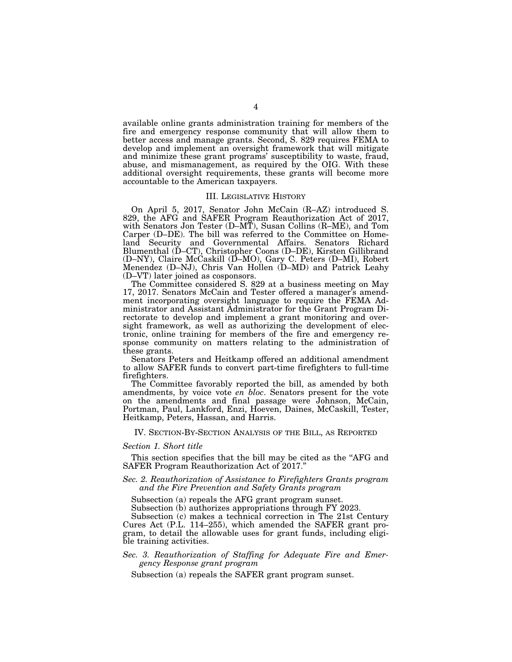available online grants administration training for members of the fire and emergency response community that will allow them to better access and manage grants. Second, S. 829 requires FEMA to develop and implement an oversight framework that will mitigate and minimize these grant programs' susceptibility to waste, fraud, abuse, and mismanagement, as required by the OIG. With these additional oversight requirements, these grants will become more accountable to the American taxpayers.

#### III. LEGISLATIVE HISTORY

On April 5, 2017, Senator John McCain (R–AZ) introduced S. 829, the AFG and SAFER Program Reauthorization Act of 2017, with Senators Jon Tester (D–MT), Susan Collins (R–ME), and Tom Carper (D–DE). The bill was referred to the Committee on Homeland Security and Governmental Affairs. Senators Richard Blumenthal (D–CT), Christopher Coons (D–DE), Kirsten Gillibrand (D–NY), Claire McCaskill (D–MO), Gary C. Peters (D–MI), Robert Menendez (D–NJ), Chris Van Hollen (D–MD) and Patrick Leahy (D–VT) later joined as cosponsors.

The Committee considered S. 829 at a business meeting on May 17, 2017. Senators McCain and Tester offered a manager's amendment incorporating oversight language to require the FEMA Administrator and Assistant Administrator for the Grant Program Directorate to develop and implement a grant monitoring and oversight framework, as well as authorizing the development of electronic, online training for members of the fire and emergency response community on matters relating to the administration of these grants.

Senators Peters and Heitkamp offered an additional amendment to allow SAFER funds to convert part-time firefighters to full-time firefighters.

The Committee favorably reported the bill, as amended by both amendments, by voice vote *en bloc*. Senators present for the vote on the amendments and final passage were Johnson, McCain, Portman, Paul, Lankford, Enzi, Hoeven, Daines, McCaskill, Tester, Heitkamp, Peters, Hassan, and Harris.

#### IV. SECTION-BY-SECTION ANALYSIS OF THE BILL, AS REPORTED

#### *Section 1. Short title*

This section specifies that the bill may be cited as the ''AFG and SAFER Program Reauthorization Act of 2017.''

### *Sec. 2. Reauthorization of Assistance to Firefighters Grants program and the Fire Prevention and Safety Grants program*

Subsection (a) repeals the AFG grant program sunset.

Subsection (b) authorizes appropriations through FY 2023.

Subsection (c) makes a technical correction in The 21st Century Cures Act (P.L. 114–255), which amended the SAFER grant program, to detail the allowable uses for grant funds, including eligible training activities.

## *Sec. 3. Reauthorization of Staffing for Adequate Fire and Emergency Response grant program*

Subsection (a) repeals the SAFER grant program sunset.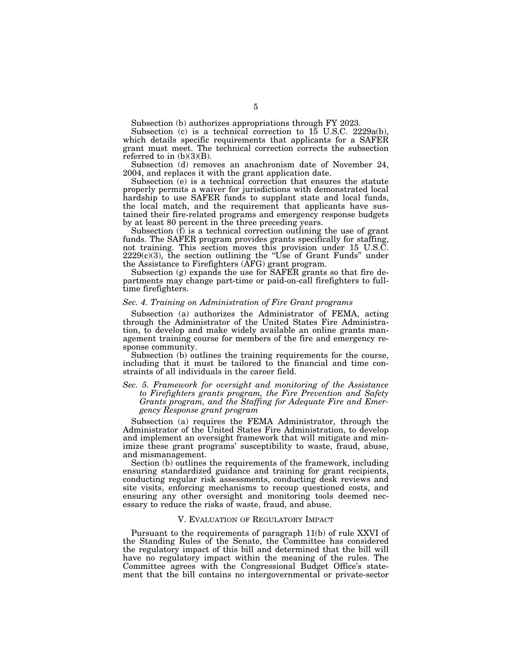Subsection (b) authorizes appropriations through FY 2023.

Subsection (c) is a technical correction to 15 U.S.C. 2229a(b), which details specific requirements that applicants for a SAFER grant must meet. The technical correction corrects the subsection referred to in  $(b)(3)(B)$ .

Subsection (d) removes an anachronism date of November 24, 2004, and replaces it with the grant application date.

Subsection (e) is a technical correction that ensures the statute properly permits a waiver for jurisdictions with demonstrated local hardship to use SAFER funds to supplant state and local funds, the local match, and the requirement that applicants have sustained their fire-related programs and emergency response budgets by at least 80 percent in the three preceding years.

Subsection (f) is a technical correction outlining the use of grant funds. The SAFER program provides grants specifically for staffing, not training. This section moves this provision under 15 U.S.C. 2229(c)(3), the section outlining the ''Use of Grant Funds'' under the Assistance to Firefighters (AFG) grant program.

Subsection (g) expands the use for SAFER grants so that fire departments may change part-time or paid-on-call firefighters to fulltime firefighters.

#### *Sec. 4. Training on Administration of Fire Grant programs*

Subsection (a) authorizes the Administrator of FEMA, acting through the Administrator of the United States Fire Administration, to develop and make widely available an online grants management training course for members of the fire and emergency response community.

Subsection (b) outlines the training requirements for the course, including that it must be tailored to the financial and time constraints of all individuals in the career field.

#### *Sec. 5. Framework for oversight and monitoring of the Assistance to Firefighters grants program, the Fire Prevention and Safety Grants program, and the Staffing for Adequate Fire and Emergency Response grant program*

Subsection (a) requires the FEMA Administrator, through the Administrator of the United States Fire Administration, to develop and implement an oversight framework that will mitigate and minimize these grant programs' susceptibility to waste, fraud, abuse, and mismanagement.

Section (b) outlines the requirements of the framework, including ensuring standardized guidance and training for grant recipients, conducting regular risk assessments, conducting desk reviews and site visits, enforcing mechanisms to recoup questioned costs, and ensuring any other oversight and monitoring tools deemed necessary to reduce the risks of waste, fraud, and abuse.

#### V. EVALUATION OF REGULATORY IMPACT

Pursuant to the requirements of paragraph 11(b) of rule XXVI of the Standing Rules of the Senate, the Committee has considered the regulatory impact of this bill and determined that the bill will have no regulatory impact within the meaning of the rules. The Committee agrees with the Congressional Budget Office's statement that the bill contains no intergovernmental or private-sector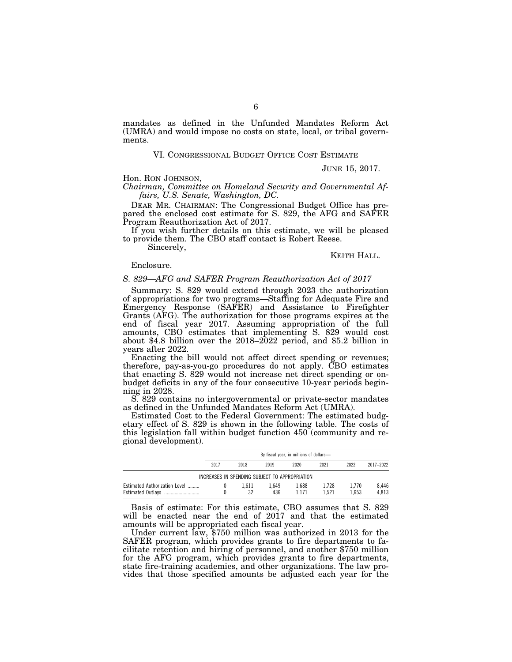mandates as defined in the Unfunded Mandates Reform Act (UMRA) and would impose no costs on state, local, or tribal governments.

#### VI. CONGRESSIONAL BUDGET OFFICE COST ESTIMATE

JUNE 15, 2017.

## Hon. RON JOHNSON,

*Chairman, Committee on Homeland Security and Governmental Affairs, U.S. Senate, Washington, DC.* 

DEAR MR. CHAIRMAN: The Congressional Budget Office has prepared the enclosed cost estimate for S. 829, the AFG and SAFER Program Reauthorization Act of 2017.

If you wish further details on this estimate, we will be pleased to provide them. The CBO staff contact is Robert Reese.

Sincerely,

KEITH HALL.

### Enclosure.

#### *S. 829—AFG and SAFER Program Reauthorization Act of 2017*

Summary: S. 829 would extend through 2023 the authorization of appropriations for two programs—Staffing for Adequate Fire and Emergency Response (SAFER) and Assistance to Firefighter Grants (AFG). The authorization for those programs expires at the end of fiscal year 2017. Assuming appropriation of the full amounts, CBO estimates that implementing S. 829 would cost about \$4.8 billion over the 2018–2022 period, and \$5.2 billion in years after 2022.

Enacting the bill would not affect direct spending or revenues; therefore, pay-as-you-go procedures do not apply. CBO estimates that enacting S. 829 would not increase net direct spending or onbudget deficits in any of the four consecutive 10-year periods beginning in 2028.

S. 829 contains no intergovernmental or private-sector mandates as defined in the Unfunded Mandates Reform Act (UMRA).

Estimated Cost to the Federal Government: The estimated budgetary effect of S. 829 is shown in the following table. The costs of this legislation fall within budget function 450 (community and regional development).

|                                                | By fiscal year, in millions of dollars- |       |       |       |       |       |           |  |  |
|------------------------------------------------|-----------------------------------------|-------|-------|-------|-------|-------|-----------|--|--|
|                                                | 2017                                    | 2018  | 2019  | 2020  | 2021  | 2022  | 2017-2022 |  |  |
| INCREASES IN SPENDING SUBJECT TO APPROPRIATION |                                         |       |       |       |       |       |           |  |  |
| Estimated Authorization Level                  |                                         | 1.611 | 1.649 | 1.688 | 1.728 | 1.770 | 8.446     |  |  |
| Estimated Outlays                              |                                         | 32    | 436   | 1.171 | 1.521 | 1.653 | 4.813     |  |  |

Basis of estimate: For this estimate, CBO assumes that S. 829 will be enacted near the end of 2017 and that the estimated amounts will be appropriated each fiscal year.

Under current law, \$750 million was authorized in 2013 for the SAFER program, which provides grants to fire departments to facilitate retention and hiring of personnel, and another \$750 million for the AFG program, which provides grants to fire departments, state fire-training academies, and other organizations. The law provides that those specified amounts be adjusted each year for the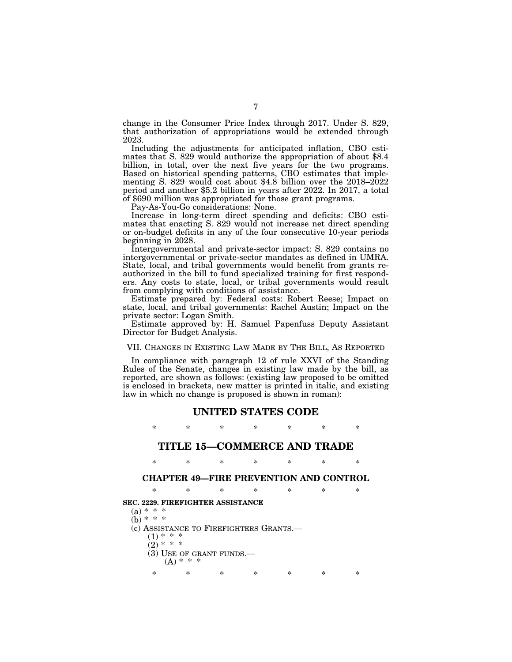change in the Consumer Price Index through 2017. Under S. 829, that authorization of appropriations would be extended through 2023.<br>Including the adjustments for anticipated inflation, CBO esti-

mates that S. 829 would authorize the appropriation of about  $$8.4$ billion, in total, over the next five years for the two programs. Based on historical spending patterns, CBO estimates that implementing S. 829 would cost about \$4.8 billion over the 2018–2022 period and another \$5.2 billion in years after 2022. In 2017, a total of \$690 million was appropriated for those grant programs.

Pay-As-You-Go considerations: None.

Increase in long-term direct spending and deficits: CBO estimates that enacting S. 829 would not increase net direct spending or on-budget deficits in any of the four consecutive 10-year periods beginning in 2028.

Intergovernmental and private-sector impact: S. 829 contains no intergovernmental or private-sector mandates as defined in UMRA. State, local, and tribal governments would benefit from grants reauthorized in the bill to fund specialized training for first responders. Any costs to state, local, or tribal governments would result from complying with conditions of assistance.

Estimate prepared by: Federal costs: Robert Reese; Impact on state, local, and tribal governments: Rachel Austin; Impact on the private sector: Logan Smith.

Estimate approved by: H. Samuel Papenfuss Deputy Assistant Director for Budget Analysis.

# VII. CHANGES IN EXISTING LAW MADE BY THE BILL, AS REPORTED

In compliance with paragraph 12 of rule XXVI of the Standing Rules of the Senate, changes in existing law made by the bill, as reported, are shown as follows: (existing law proposed to be omitted is enclosed in brackets, new matter is printed in italic, and existing law in which no change is proposed is shown in roman):

### **UNITED STATES CODE**

\* \* \* \* \* \* \*

# **TITLE 15—COMMERCE AND TRADE**

# \* \* \* \* \* \* \*

### **CHAPTER 49—FIRE PREVENTION AND CONTROL**

| ×           | $\ast$                                  | $^{\ast}$ | $\ast$    | $\ast$ | $\ast$ | $\ast$ |
|-------------|-----------------------------------------|-----------|-----------|--------|--------|--------|
|             | SEC. 2229. FIREFIGHTER ASSISTANCE       |           |           |        |        |        |
| (a) * * *   |                                         |           |           |        |        |        |
| (b) * * *   |                                         |           |           |        |        |        |
|             | (c) ASSISTANCE TO FIREFIGHTERS GRANTS.— |           |           |        |        |        |
| ∗           | $*$ *                                   |           |           |        |        |        |
| $(2)$ * * * |                                         |           |           |        |        |        |
|             | (3) USE OF GRANT FUNDS.-                |           |           |        |        |        |
|             | $(A) * * +$                             |           |           |        |        |        |
| ×           | ∗                                       | ×         | $^{\ast}$ | ×      | ×      | ×      |
|             |                                         |           |           |        |        |        |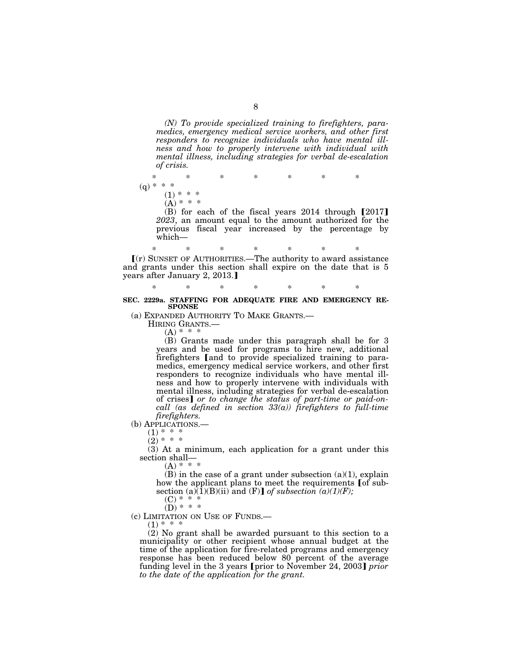*(N) To provide specialized training to firefighters, paramedics, emergency medical service workers, and other first responders to recognize individuals who have mental illness and how to properly intervene with individual with mental illness, including strategies for verbal de-escalation of crisis.* 

\* \* \* \* \* \* \*

 $(q) * * *$ 

 $(1) * * *$  $(A) * * * *$ 

(B) for each of the fiscal years  $2014$  through  $[2017]$ *2023*, an amount equal to the amount authorized for the previous fiscal year increased by the percentage by which—

\* \* \* \* \* \* \* ø(r) SUNSET OF AUTHORITIES.—The authority to award assistance and grants under this section shall expire on the date that is 5 years after January 2, 2013.]

#### \* \* \* \* \* \* \* **SEC. 2229a. STAFFING FOR ADEQUATE FIRE AND EMERGENCY RE-SPONSE**

(a) EXPANDED AUTHORITY TO MAKE GRANTS.— HIRING GRANTS.—

 $(A) * * * *$ 

(B) Grants made under this paragraph shall be for 3 years and be used for programs to hire new, additional firefighters [and to provide specialized training to paramedics, emergency medical service workers, and other first responders to recognize individuals who have mental illness and how to properly intervene with individuals with mental illness, including strategies for verbal de-escalation of crises] or to change the status of part-time or paid-on*call (as defined in section 33(a)) firefighters to full-time firefighters.* 

(b) APPLICATIONS.—

 $(1)$  \* \* \*

 $(2) * * *$ 

(3) At a minimum, each application for a grant under this section shall—

 $(A) * * * *$ 

 $(B)$  in the case of a grant under subsection  $(a)(1)$ , explain how the applicant plans to meet the requirements [of subsection (a)(1)(B)(ii) and (F)] of subsection (a)(1)(F);

 $(C)$  \*

 $(D) * * * *$ 

(c) LIMITATION ON USE OF FUNDS.—

 $(1)$  \* \* \*

(2) No grant shall be awarded pursuant to this section to a municipality or other recipient whose annual budget at the time of the application for fire-related programs and emergency response has been reduced below 80 percent of the average funding level in the 3 years (prior to November 24, 2003) *prior to the date of the application for the grant.*